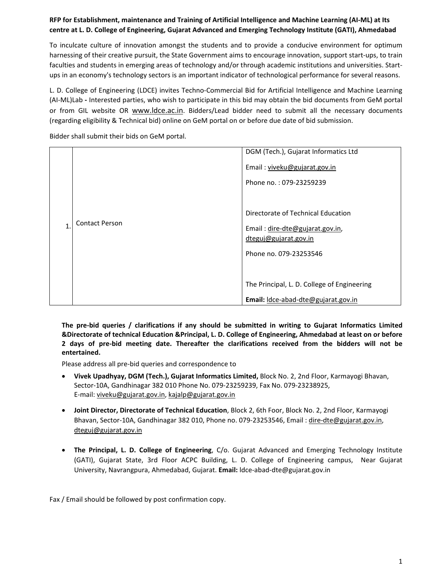# **RFP for Establishment, maintenance and Training of Artificial Intelligence and Machine Learning (AI‐ML) at Its centre at L. D. College of Engineering, Gujarat Advanced and Emerging Technology Institute (GATI), Ahmedabad**

To inculcate culture of innovation amongst the students and to provide a conducive environment for optimum harnessing of their creative pursuit, the State Government aims to encourage innovation, support start‐ups, to train faculties and students in emerging areas of technology and/or through academic institutions and universities. Startups in an economy's technology sectors is an important indicator of technological performance for several reasons.

L. D. College of Engineering (LDCE) invites Techno‐Commercial Bid for Artificial Intelligence and Machine Learning (AI‐ML)Lab **‐** Interested parties, who wish to participate in this bid may obtain the bid documents from GeM portal or from GIL website OR www.ldce.ac.in. Bidders/Lead bidder need to submit all the necessary documents (regarding eligibility & Technical bid) online on GeM portal on or before due date of bid submission.

Bidder shall submit their bids on GeM portal.

|   |                       | DGM (Tech.), Gujarat Informatics Ltd                                                                                     |
|---|-----------------------|--------------------------------------------------------------------------------------------------------------------------|
|   |                       | Email: viveku@gujarat.gov.in<br>Phone no.: 079-23259239                                                                  |
| 1 | <b>Contact Person</b> | Directorate of Technical Education<br>Email: dire-dte@gujarat.gov.in,<br>dteguj@gujarat.gov.in<br>Phone no. 079-23253546 |
|   |                       | The Principal, L. D. College of Engineering<br>Email: Idce-abad-dte@gujarat.gov.in                                       |

**The pre‐bid queries / clarifications if any should be submitted in writing to Gujarat Informatics Limited &Directorate of technical Education &Principal, L. D. College of Engineering, Ahmedabad at least on or before 2 days of pre‐bid meeting date. Thereafter the clarifications received from the bidders will not be entertained.** 

Please address all pre‐bid queries and correspondence to

- **Vivek Upadhyay, DGM (Tech.), Gujarat Informatics Limited,** Block No. 2, 2nd Floor, Karmayogi Bhavan, Sector‐10A, Gandhinagar 382 010 Phone No. 079‐23259239, Fax No. 079‐23238925, E‐mail: viveku@gujarat.gov.in, kajalp@gujarat.gov.in
- **Joint Director, Directorate of Technical Education**, Block 2, 6th Foor, Block No. 2, 2nd Floor, Karmayogi Bhavan, Sector‐10A, Gandhinagar 382 010, Phone no. 079‐23253546, Email : dire‐dte@gujarat.gov.in, dteguj@gujarat.gov.in
- **The Principal, L. D. College of Engineering**, C/o. Gujarat Advanced and Emerging Technology Institute (GATI), Gujarat State, 3rd Floor ACPC Building, L. D. College of Engineering campus, Near Gujarat University, Navrangpura, Ahmedabad, Gujarat. **Email:** ldce‐abad‐dte@gujarat.gov.in

Fax / Email should be followed by post confirmation copy.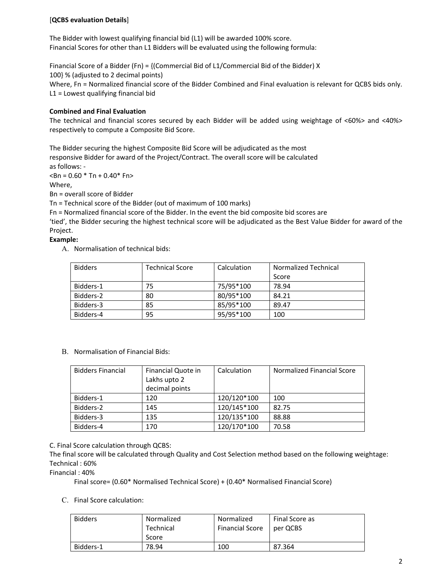## [**QCBS evaluation Details**]

The Bidder with lowest qualifying financial bid (L1) will be awarded 100% score. Financial Scores for other than L1 Bidders will be evaluated using the following formula:

Financial Score of a Bidder (Fn) = {(Commercial Bid of L1/Commercial Bid of the Bidder) X 100} % (adjusted to 2 decimal points) Where, Fn = Normalized financial score of the Bidder Combined and Final evaluation is relevant for QCBS bids only. L1 = Lowest qualifying financial bid

### **Combined and Final Evaluation**

The technical and financial scores secured by each Bidder will be added using weightage of <60%> and <40%> respectively to compute a Composite Bid Score.

The Bidder securing the highest Composite Bid Score will be adjudicated as the most responsive Bidder for award of the Project/Contract. The overall score will be calculated as follows: ‐

 $$\text{dB}$  = 0.60  $$\text{Th} + 0.40$$  Fn>

Where,

Bn = overall score of Bidder

Tn = Technical score of the Bidder (out of maximum of 100 marks)

Fn = Normalized financial score of the Bidder. In the event the bid composite bid scores are

'tied', the Bidder securing the highest technical score will be adjudicated as the Best Value Bidder for award of the Project.

### **Example:**

A. Normalisation of technical bids:

| <b>Bidders</b> | <b>Technical Score</b> | Calculation | Normalized Technical |
|----------------|------------------------|-------------|----------------------|
|                |                        |             | Score                |
| Bidders-1      | 75                     | 75/95*100   | 78.94                |
| Bidders-2      | 80                     | 80/95*100   | 84.21                |
| Bidders-3      | 85                     | 85/95*100   | 89.47                |
| Bidders-4      | 95                     | 95/95*100   | 100                  |

B. Normalisation of Financial Bids:

| <b>Bidders Financial</b> | Financial Quote in | Calculation | Normalized Financial Score |
|--------------------------|--------------------|-------------|----------------------------|
|                          | Lakhs upto 2       |             |                            |
|                          | decimal points     |             |                            |
| Bidders-1                | 120                | 120/120*100 | 100                        |
| Bidders-2                | 145                | 120/145*100 | 82.75                      |
| Bidders-3                | 135                | 120/135*100 | 88.88                      |
| Bidders-4                | 170                | 120/170*100 | 70.58                      |

C. Final Score calculation through QCBS:

The final score will be calculated through Quality and Cost Selection method based on the following weightage: Technical : 60%

Financial : 40%

Final score= (0.60\* Normalised Technical Score) + (0.40\* Normalised Financial Score)

C. Final Score calculation:

| <b>Bidders</b> | Normalized | Normalized             | Final Score as |
|----------------|------------|------------------------|----------------|
|                | Technical  | <b>Financial Score</b> | per QCBS       |
|                | Score      |                        |                |
| Bidders-1      | 78.94      | 100                    | 87.364         |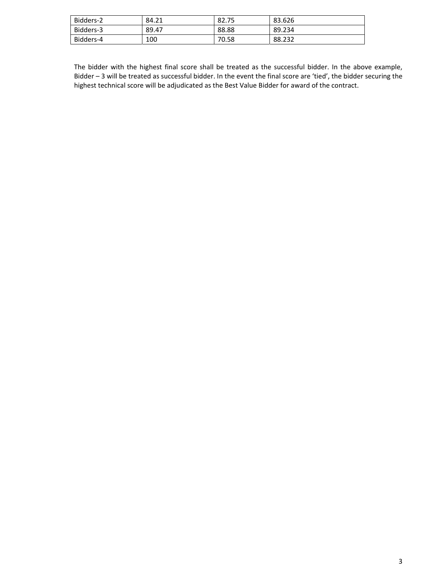| Bidders-2 | 84.21 | 82.75 | 83.626 |
|-----------|-------|-------|--------|
| Bidders-3 | 89.47 | 88.88 | 89.234 |
| Bidders-4 | 100   | 70.58 | 88.232 |

The bidder with the highest final score shall be treated as the successful bidder. In the above example, Bidder – 3 will be treated as successful bidder. In the event the final score are 'tied', the bidder securing the highest technical score will be adjudicated as the Best Value Bidder for award of the contract.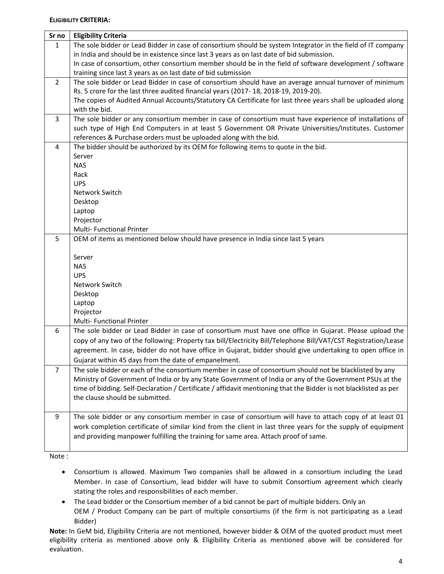### **ELIGIBILITY CRITERIA:**

| Sr no          | <b>Eligibility Criteria</b>                                                                                      |
|----------------|------------------------------------------------------------------------------------------------------------------|
| $\mathbf{1}$   | The sole bidder or Lead Bidder in case of consortium should be system Integrator in the field of IT company      |
|                | in India and should be in existence since last 3 years as on last date of bid submission.                        |
|                | In case of consortium, other consortium member should be in the field of software development / software         |
|                | training since last 3 years as on last date of bid submission                                                    |
| $\overline{2}$ | The sole bidder or Lead Bidder in case of consortium should have an average annual turnover of minimum           |
|                | Rs. 5 crore for the last three audited financial years (2017-18, 2018-19, 2019-20).                              |
|                | The copies of Audited Annual Accounts/Statutory CA Certificate for last three years shall be uploaded along      |
|                | with the bid.                                                                                                    |
| 3              | The sole bidder or any consortium member in case of consortium must have experience of installations of          |
|                | such type of High End Computers in at least 5 Government OR Private Universities/Institutes. Customer            |
|                | references & Purchase orders must be uploaded along with the bid.                                                |
| 4              | The bidder should be authorized by its OEM for following items to quote in the bid.                              |
|                | Server                                                                                                           |
|                | <b>NAS</b>                                                                                                       |
|                | Rack                                                                                                             |
|                | <b>UPS</b>                                                                                                       |
|                | Network Switch                                                                                                   |
|                | Desktop                                                                                                          |
|                | Laptop<br>Projector                                                                                              |
|                | <b>Multi-Functional Printer</b>                                                                                  |
| 5              | OEM of items as mentioned below should have presence in India since last 5 years                                 |
|                |                                                                                                                  |
|                | Server                                                                                                           |
|                | <b>NAS</b>                                                                                                       |
|                | <b>UPS</b>                                                                                                       |
|                | Network Switch                                                                                                   |
|                | Desktop                                                                                                          |
|                | Laptop                                                                                                           |
|                | Projector                                                                                                        |
|                | Multi- Functional Printer                                                                                        |
| 6              | The sole bidder or Lead Bidder in case of consortium must have one office in Gujarat. Please upload the          |
|                | copy of any two of the following: Property tax bill/Electricity Bill/Telephone Bill/VAT/CST Registration/Lease   |
|                | agreement. In case, bidder do not have office in Gujarat, bidder should give undertaking to open office in       |
|                | Gujarat within 45 days from the date of empanelment.                                                             |
| $\overline{7}$ | The sole bidder or each of the consortium member in case of consortium should not be blacklisted by any          |
|                | Ministry of Government of India or by any State Government of India or any of the Government PSUs at the         |
|                | time of bidding. Self-Declaration / Certificate / affidavit mentioning that the Bidder is not blacklisted as per |
|                | the clause should be submitted.                                                                                  |
|                |                                                                                                                  |
| 9              | The sole bidder or any consortium member in case of consortium will have to attach copy of at least 01           |
|                | work completion certificate of similar kind from the client in last three years for the supply of equipment      |
|                | and providing manpower fulfilling the training for same area. Attach proof of same.                              |
|                |                                                                                                                  |

Note :

- Consortium is allowed. Maximum Two companies shall be allowed in a consortium including the Lead Member. In case of Consortium, lead bidder will have to submit Consortium agreement which clearly stating the roles and responsibilities of each member.
- The Lead bidder or the Consortium member of a bid cannot be part of multiple bidders. Only an OEM / Product Company can be part of multiple consortiums (if the firm is not participating as a Lead Bidder)

**Note:** In GeM bid, Eligibility Criteria are not mentioned, however bidder & OEM of the quoted product must meet eligibility criteria as mentioned above only & Eligibility Criteria as mentioned above will be considered for evaluation.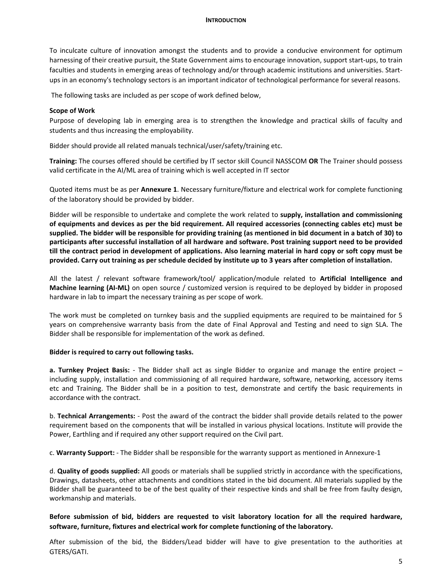#### **INTRODUCTION**

To inculcate culture of innovation amongst the students and to provide a conducive environment for optimum harnessing of their creative pursuit, the State Government aims to encourage innovation, support start‐ups, to train faculties and students in emerging areas of technology and/or through academic institutions and universities. Startups in an economy's technology sectors is an important indicator of technological performance for several reasons.

The following tasks are included as per scope of work defined below,

#### **Scope of Work**

Purpose of developing lab in emerging area is to strengthen the knowledge and practical skills of faculty and students and thus increasing the employability.

Bidder should provide all related manuals technical/user/safety/training etc.

**Training:** The courses offered should be certified by IT sector skill Council NASSCOM **OR** The Trainer should possess valid certificate in the AI/ML area of training which is well accepted in IT sector

Quoted items must be as per **Annexure 1**. Necessary furniture/fixture and electrical work for complete functioning of the laboratory should be provided by bidder.

Bidder will be responsible to undertake and complete the work related to **supply, installation and commissioning of equipments and devices as per the bid requirement. All required accessories (connecting cables etc) must be supplied. The bidder will be responsible for providing training (as mentioned in bid document in a batch of 30) to participants after successful installation of all hardware and software. Post training support need to be provided till the contract period in development of applications. Also learning material in hard copy or soft copy must be provided. Carry out training as per schedule decided by institute up to 3 years after completion of installation.** 

All the latest / relevant software framework/tool/ application/module related to **Artificial Intelligence and Machine learning (AI‐ML)** on open source / customized version is required to be deployed by bidder in proposed hardware in lab to impart the necessary training as per scope of work.

The work must be completed on turnkey basis and the supplied equipments are required to be maintained for 5 years on comprehensive warranty basis from the date of Final Approval and Testing and need to sign SLA. The Bidder shall be responsible for implementation of the work as defined.

#### **Bidder is required to carry out following tasks.**

**a. Turnkey Project Basis:** - The Bidder shall act as single Bidder to organize and manage the entire project including supply, installation and commissioning of all required hardware, software, networking, accessory items etc and Training. The Bidder shall be in a position to test, demonstrate and certify the basic requirements in accordance with the contract.

b. **Technical Arrangements:** ‐ Post the award of the contract the bidder shall provide details related to the power requirement based on the components that will be installed in various physical locations. Institute will provide the Power, Earthling and if required any other support required on the Civil part.

c. **Warranty Support:** ‐ The Bidder shall be responsible for the warranty support as mentioned in Annexure‐1

d. **Quality of goods supplied:** All goods or materials shall be supplied strictly in accordance with the specifications, Drawings, datasheets, other attachments and conditions stated in the bid document. All materials supplied by the Bidder shall be guaranteed to be of the best quality of their respective kinds and shall be free from faulty design, workmanship and materials.

**Before submission of bid, bidders are requested to visit laboratory location for all the required hardware, software, furniture, fixtures and electrical work for complete functioning of the laboratory.** 

After submission of the bid, the Bidders/Lead bidder will have to give presentation to the authorities at GTERS/GATI.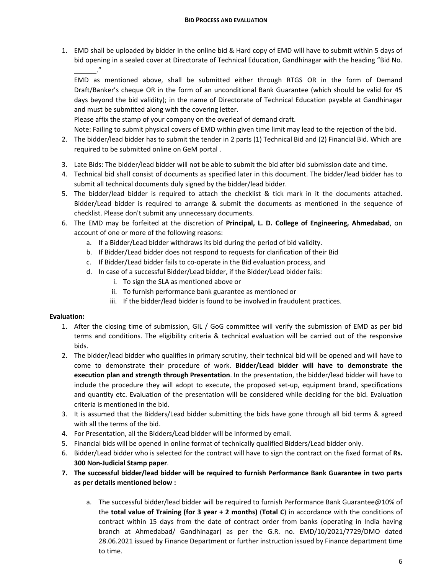1. EMD shall be uploaded by bidder in the online bid & Hard copy of EMD will have to submit within 5 days of bid opening in a sealed cover at Directorate of Technical Education, Gandhinagar with the heading "Bid No. \_\_\_\_\_\_."

EMD as mentioned above, shall be submitted either through RTGS OR in the form of Demand Draft/Banker's cheque OR in the form of an unconditional Bank Guarantee (which should be valid for 45 days beyond the bid validity); in the name of Directorate of Technical Education payable at Gandhinagar and must be submitted along with the covering letter.

Please affix the stamp of your company on the overleaf of demand draft.

Note: Failing to submit physical covers of EMD within given time limit may lead to the rejection of the bid.

- 2. The bidder/lead bidder has to submit the tender in 2 parts (1) Technical Bid and (2) Financial Bid. Which are required to be submitted online on GeM portal .
- 3. Late Bids: The bidder/lead bidder will not be able to submit the bid after bid submission date and time.
- 4. Technical bid shall consist of documents as specified later in this document. The bidder/lead bidder has to submit all technical documents duly signed by the bidder/lead bidder.
- 5. The bidder/lead bidder is required to attach the checklist & tick mark in it the documents attached. Bidder/Lead bidder is required to arrange & submit the documents as mentioned in the sequence of checklist. Please don't submit any unnecessary documents.
- 6. The EMD may be forfeited at the discretion of **Principal, L. D. College of Engineering, Ahmedabad**, on account of one or more of the following reasons:
	- a. If a Bidder/Lead bidder withdraws its bid during the period of bid validity.
	- b. If Bidder/Lead bidder does not respond to requests for clarification of their Bid
	- c. If Bidder/Lead bidder fails to co‐operate in the Bid evaluation process, and
	- d. In case of a successful Bidder/Lead bidder, if the Bidder/Lead bidder fails:
		- i. To sign the SLA as mentioned above or
		- ii. To furnish performance bank guarantee as mentioned or
		- iii. If the bidder/lead bidder is found to be involved in fraudulent practices.

### **Evaluation:**

- 1. After the closing time of submission, GIL / GoG committee will verify the submission of EMD as per bid terms and conditions. The eligibility criteria & technical evaluation will be carried out of the responsive bids.
- 2. The bidder/lead bidder who qualifies in primary scrutiny, their technical bid will be opened and will have to come to demonstrate their procedure of work. **Bidder/Lead bidder will have to demonstrate the execution plan and strength through Presentation**. In the presentation, the bidder/lead bidder will have to include the procedure they will adopt to execute, the proposed set-up, equipment brand, specifications and quantity etc. Evaluation of the presentation will be considered while deciding for the bid. Evaluation criteria is mentioned in the bid.
- 3. It is assumed that the Bidders/Lead bidder submitting the bids have gone through all bid terms & agreed with all the terms of the bid.
- 4. For Presentation, all the Bidders/Lead bidder will be informed by email.
- 5. Financial bids will be opened in online format of technically qualified Bidders/Lead bidder only.
- 6. Bidder/Lead bidder who is selected for the contract will have to sign the contract on the fixed format of **Rs. 300 Non‐Judicial Stamp paper**.
- **7. The successful bidder/lead bidder will be required to furnish Performance Bank Guarantee in two parts as per details mentioned below :** 
	- a. The successful bidder/lead bidder will be required to furnish Performance Bank Guarantee@10% of the **total value of Training (for 3 year + 2 months)** (**Total C**) in accordance with the conditions of contract within 15 days from the date of contract order from banks (operating in India having branch at Ahmedabad/ Gandhinagar) as per the G.R. no. EMD/10/2021/7729/DMO dated 28.06.2021 issued by Finance Department or further instruction issued by Finance department time to time.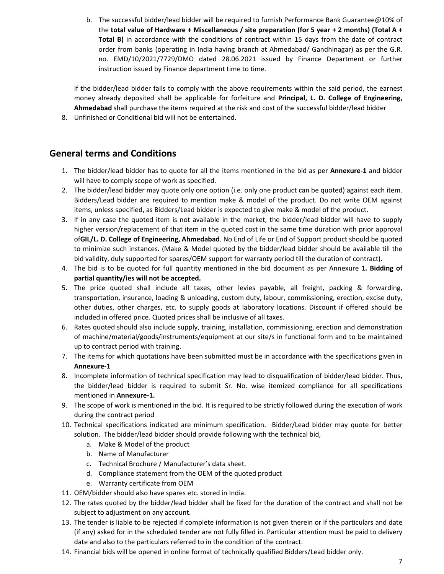b. The successful bidder/lead bidder will be required to furnish Performance Bank Guarantee@10% of the **total value of Hardware + Miscellaneous / site preparation (for 5 year + 2 months) (Total A +**  Total B) in accordance with the conditions of contract within 15 days from the date of contract order from banks (operating in India having branch at Ahmedabad/ Gandhinagar) as per the G.R. no. EMD/10/2021/7729/DMO dated 28.06.2021 issued by Finance Department or further instruction issued by Finance department time to time.

If the bidder/lead bidder fails to comply with the above requirements within the said period, the earnest money already deposited shall be applicable for forfeiture and **Principal, L. D. College of Engineering, Ahmedabad** shall purchase the items required at the risk and cost of the successful bidder/lead bidder

8. Unfinished or Conditional bid will not be entertained.

# **General terms and Conditions**

- 1. The bidder/lead bidder has to quote for all the items mentioned in the bid as per **Annexure‐1** and bidder will have to comply scope of work as specified.
- 2. The bidder/lead bidder may quote only one option (i.e. only one product can be quoted) against each item. Bidders/Lead bidder are required to mention make & model of the product. Do not write OEM against items, unless specified, as Bidders/Lead bidder is expected to give make & model of the product.
- 3. If in any case the quoted item is not available in the market, the bidder/lead bidder will have to supply higher version/replacement of that item in the quoted cost in the same time duration with prior approval of**GIL/L. D. College of Engineering, Ahmedabad**. No End of Life or End of Support product should be quoted to minimize such instances. (Make & Model quoted by the bidder/lead bidder should be available till the bid validity, duly supported for spares/OEM support for warranty period till the duration of contract).
- 4. The bid is to be quoted for full quantity mentioned in the bid document as per Annexure 1**. Bidding of partial quantity/ies will not be accepted.**
- 5. The price quoted shall include all taxes, other levies payable, all freight, packing & forwarding, transportation, insurance, loading & unloading, custom duty, labour, commissioning, erection, excise duty, other duties, other charges, etc. to supply goods at laboratory locations. Discount if offered should be included in offered price. Quoted prices shall be inclusive of all taxes.
- 6. Rates quoted should also include supply, training, installation, commissioning, erection and demonstration of machine/material/goods/instruments/equipment at our site/s in functional form and to be maintained up to contract period with training.
- 7. The items for which quotations have been submitted must be in accordance with the specifications given in **Annexure‐1**
- 8. Incomplete information of technical specification may lead to disqualification of bidder/lead bidder. Thus, the bidder/lead bidder is required to submit Sr. No. wise itemized compliance for all specifications mentioned in **Annexure‐1.**
- 9. The scope of work is mentioned in the bid. It is required to be strictly followed during the execution of work during the contract period
- 10. Technical specifications indicated are minimum specification. Bidder/Lead bidder may quote for better solution. The bidder/lead bidder should provide following with the technical bid,
	- a. Make & Model of the product
	- b. Name of Manufacturer
	- c. Technical Brochure / Manufacturer's data sheet.
	- d. Compliance statement from the OEM of the quoted product
	- e. Warranty certificate from OEM
- 11. OEM/bidder should also have spares etc. stored in India.
- 12. The rates quoted by the bidder/lead bidder shall be fixed for the duration of the contract and shall not be subject to adjustment on any account.
- 13. The tender is liable to be rejected if complete information is not given therein or if the particulars and date (if any) asked for in the scheduled tender are not fully filled in. Particular attention must be paid to delivery date and also to the particulars referred to in the condition of the contract.
- 14. Financial bids will be opened in online format of technically qualified Bidders/Lead bidder only.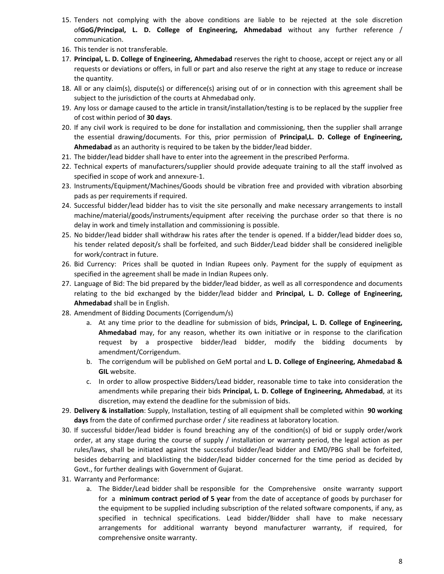- 15. Tenders not complying with the above conditions are liable to be rejected at the sole discretion of**GoG/Principal, L. D. College of Engineering, Ahmedabad** without any further reference / communication.
- 16. This tender is not transferable.
- 17. **Principal, L. D. College of Engineering, Ahmedabad** reserves the right to choose, accept or reject any or all requests or deviations or offers, in full or part and also reserve the right at any stage to reduce or increase the quantity.
- 18. All or any claim(s), dispute(s) or difference(s) arising out of or in connection with this agreement shall be subject to the jurisdiction of the courts at Ahmedabad only.
- 19. Any loss or damage caused to the article in transit/installation/testing is to be replaced by the supplier free of cost within period of **30 days**.
- 20. If any civil work is required to be done for installation and commissioning, then the supplier shall arrange the essential drawing/documents. For this, prior permission of **Principal,L. D. College of Engineering, Ahmedabad** as an authority is required to be taken by the bidder/lead bidder.
- 21. The bidder/lead bidder shall have to enter into the agreement in the prescribed Performa.
- 22. Technical experts of manufacturers/supplier should provide adequate training to all the staff involved as specified in scope of work and annexure‐1.
- 23. Instruments/Equipment/Machines/Goods should be vibration free and provided with vibration absorbing pads as per requirements if required.
- 24. Successful bidder/lead bidder has to visit the site personally and make necessary arrangements to install machine/material/goods/instruments/equipment after receiving the purchase order so that there is no delay in work and timely installation and commissioning is possible.
- 25. No bidder/lead bidder shall withdraw his rates after the tender is opened. If a bidder/lead bidder does so, his tender related deposit/s shall be forfeited, and such Bidder/Lead bidder shall be considered ineligible for work/contract in future.
- 26. Bid Currency: Prices shall be quoted in Indian Rupees only. Payment for the supply of equipment as specified in the agreement shall be made in Indian Rupees only.
- 27. Language of Bid: The bid prepared by the bidder/lead bidder, as well as all correspondence and documents relating to the bid exchanged by the bidder/lead bidder and **Principal, L. D. College of Engineering, Ahmedabad** shall be in English.
- 28. Amendment of Bidding Documents (Corrigendum/s)
	- a. At any time prior to the deadline for submission of bids, **Principal, L. D. College of Engineering, Ahmedabad** may, for any reason, whether its own initiative or in response to the clarification request by a prospective bidder/lead bidder, modify the bidding documents by amendment/Corrigendum.
	- b. The corrigendum will be published on GeM portal and **L. D. College of Engineering, Ahmedabad & GIL** website.
	- c. In order to allow prospective Bidders/Lead bidder, reasonable time to take into consideration the amendments while preparing their bids **Principal, L. D. College of Engineering, Ahmedabad**, at its discretion, may extend the deadline for the submission of bids.
- 29. **Delivery & installation**: Supply, Installation, testing of all equipment shall be completed within  **90 working days** from the date of confirmed purchase order / site readiness at laboratory location.
- 30. If successful bidder/lead bidder is found breaching any of the condition(s) of bid or supply order/work order, at any stage during the course of supply / installation or warranty period, the legal action as per rules/laws, shall be initiated against the successful bidder/lead bidder and EMD/PBG shall be forfeited, besides debarring and blacklisting the bidder/lead bidder concerned for the time period as decided by Govt., for further dealings with Government of Gujarat.
- 31. Warranty and Performance:
	- a. The Bidder/Lead bidder shall be responsible for the Comprehensive onsite warranty support for a **minimum contract period of 5 year** from the date of acceptance of goods by purchaser for the equipment to be supplied including subscription of the related software components, if any, as specified in technical specifications. Lead bidder/Bidder shall have to make necessary arrangements for additional warranty beyond manufacturer warranty, if required, for comprehensive onsite warranty.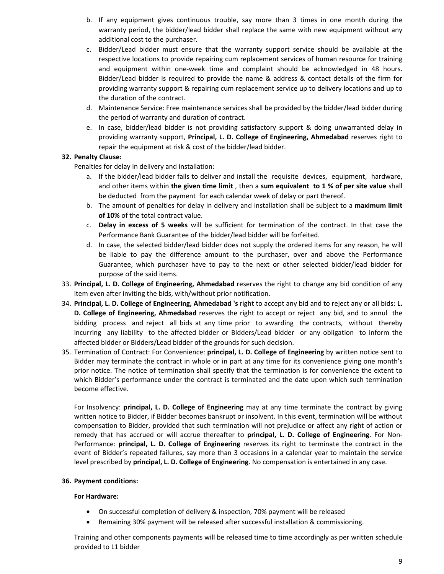- b. If any equipment gives continuous trouble, say more than 3 times in one month during the warranty period, the bidder/lead bidder shall replace the same with new equipment without any additional cost to the purchaser.
- c. Bidder/Lead bidder must ensure that the warranty support service should be available at the respective locations to provide repairing cum replacement services of human resource for training and equipment within one-week time and complaint should be acknowledged in 48 hours. Bidder/Lead bidder is required to provide the name & address & contact details of the firm for providing warranty support & repairing cum replacement service up to delivery locations and up to the duration of the contract.
- d. Maintenance Service: Free maintenance services shall be provided by the bidder/lead bidder during the period of warranty and duration of contract.
- e. In case, bidder/lead bidder is not providing satisfactory support & doing unwarranted delay in providing warranty support, **Principal, L. D. College of Engineering, Ahmedabad** reserves right to repair the equipment at risk & cost of the bidder/lead bidder.

### **32. Penalty Clause:**

Penalties for delay in delivery and installation:

- a. If the bidder/lead bidder fails to deliver and install the requisite devices, equipment, hardware, and other items within **the given time limit** , then a **sum equivalent to 1 % of per site value** shall be deducted from the payment for each calendar week of delay or part thereof.
- b. The amount of penalties for delay in delivery and installation shall be subject to a **maximum limit of 10%** of the total contract value.
- c. **Delay in excess of 5 weeks** will be sufficient for termination of the contract. In that case the Performance Bank Guarantee of the bidder/lead bidder will be forfeited.
- d. In case, the selected bidder/lead bidder does not supply the ordered items for any reason, he will be liable to pay the difference amount to the purchaser, over and above the Performance Guarantee, which purchaser have to pay to the next or other selected bidder/lead bidder for purpose of the said items.
- 33. **Principal, L. D. College of Engineering, Ahmedabad** reserves the right to change any bid condition of any item even after inviting the bids, with/without prior notification.
- 34. **Principal, L. D. College of Engineering, Ahmedabad 's** right to accept any bid and to reject any or all bids: **L. D. College of Engineering, Ahmedabad** reserves the right to accept or reject any bid, and to annul the bidding process and reject all bids at any time prior to awarding the contracts, without thereby incurring any liability to the affected bidder or Bidders/Lead bidder or any obligation to inform the affected bidder or Bidders/Lead bidder of the grounds for such decision.
- 35. Termination of Contract: For Convenience: **principal, L. D. College of Engineering** by written notice sent to Bidder may terminate the contract in whole or in part at any time for its convenience giving one month's prior notice. The notice of termination shall specify that the termination is for convenience the extent to which Bidder's performance under the contract is terminated and the date upon which such termination become effective.

For Insolvency: **principal, L. D. College of Engineering** may at any time terminate the contract by giving written notice to Bidder, if Bidder becomes bankrupt or insolvent. In this event, termination will be without compensation to Bidder, provided that such termination will not prejudice or affect any right of action or remedy that has accrued or will accrue thereafter to **principal, L. D. College of Engineering**. For Non‐ Performance: **principal, L. D. College of Engineering** reserves its right to terminate the contract in the event of Bidder's repeated failures, say more than 3 occasions in a calendar year to maintain the service level prescribed by **principal, L. D. College of Engineering**. No compensation is entertained in any case.

#### **36. Payment conditions:**

#### **For Hardware:**

- On successful completion of delivery & inspection, 70% payment will be released
- Remaining 30% payment will be released after successful installation & commissioning.

Training and other components payments will be released time to time accordingly as per written schedule provided to L1 bidder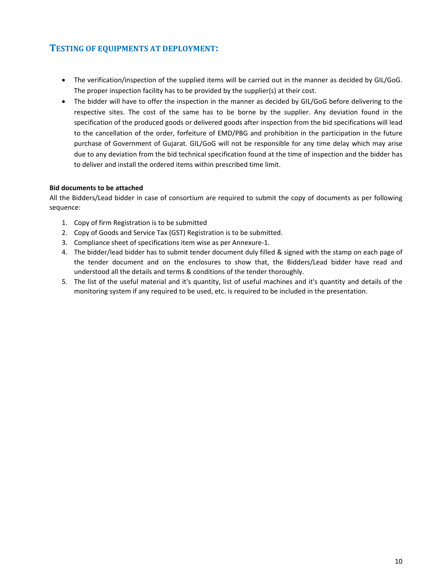# **TESTING OF EQUIPMENTS AT DEPLOYMENT:**

- The verification/inspection of the supplied items will be carried out in the manner as decided by GIL/GoG. The proper inspection facility has to be provided by the supplier(s) at their cost.
- The bidder will have to offer the inspection in the manner as decided by GIL/GoG before delivering to the respective sites. The cost of the same has to be borne by the supplier. Any deviation found in the specification of the produced goods or delivered goods after inspection from the bid specifications will lead to the cancellation of the order, forfeiture of EMD/PBG and prohibition in the participation in the future purchase of Government of Gujarat. GIL/GoG will not be responsible for any time delay which may arise due to any deviation from the bid technical specification found at the time of inspection and the bidder has to deliver and install the ordered items within prescribed time limit.

### **Bid documents to be attached**

All the Bidders/Lead bidder in case of consortium are required to submit the copy of documents as per following sequence:

- 1. Copy of firm Registration is to be submitted
- 2. Copy of Goods and Service Tax (GST) Registration is to be submitted.
- 3. Compliance sheet of specifications item wise as per Annexure‐1.
- 4. The bidder/lead bidder has to submit tender document duly filled & signed with the stamp on each page of the tender document and on the enclosures to show that, the Bidders/Lead bidder have read and understood all the details and terms & conditions of the tender thoroughly.
- 5. The list of the useful material and it's quantity, list of useful machines and it's quantity and details of the monitoring system if any required to be used, etc. is required to be included in the presentation.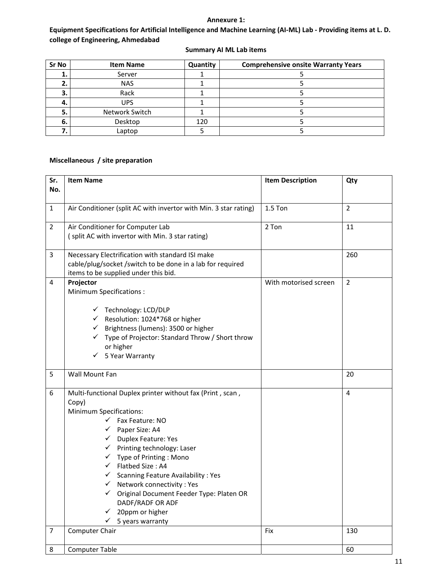### **Annexure 1:**

# **Equipment Specifications for Artificial Intelligence and Machine Learning (AI‐ML) Lab ‐ Providing items at L. D. college of Engineering, Ahmedabad**

| Sr No | <b>Item Name</b> | Quantity | <b>Comprehensive onsite Warranty Years</b> |
|-------|------------------|----------|--------------------------------------------|
| ı.    | Server           |          |                                            |
| z.    | <b>NAS</b>       |          |                                            |
| 3.    | Rack             |          |                                            |
| -4.   | <b>UPS</b>       |          |                                            |
| 5.    | Network Switch   |          |                                            |
| 6.    | Desktop          | 120      |                                            |
|       | Laptop           |          |                                            |

### **Summary AI ML Lab items**

# **Miscellaneous / site preparation**

| Sr.<br>No.     | <b>Item Name</b>                                                                                                                                                                                                                                                                                                                                                                                                                                                                                                                                      | <b>Item Description</b> | Qty            |
|----------------|-------------------------------------------------------------------------------------------------------------------------------------------------------------------------------------------------------------------------------------------------------------------------------------------------------------------------------------------------------------------------------------------------------------------------------------------------------------------------------------------------------------------------------------------------------|-------------------------|----------------|
|                |                                                                                                                                                                                                                                                                                                                                                                                                                                                                                                                                                       |                         |                |
| $\mathbf{1}$   | Air Conditioner (split AC with invertor with Min. 3 star rating)                                                                                                                                                                                                                                                                                                                                                                                                                                                                                      | $1.5$ Ton               | $\overline{2}$ |
| $\overline{2}$ | Air Conditioner for Computer Lab<br>(split AC with invertor with Min. 3 star rating)                                                                                                                                                                                                                                                                                                                                                                                                                                                                  | 2 Ton                   | 11             |
| 3              | Necessary Electrification with standard ISI make<br>cable/plug/socket /switch to be done in a lab for required<br>items to be supplied under this bid.                                                                                                                                                                                                                                                                                                                                                                                                |                         | 260            |
| 4              | Projector<br><b>Minimum Specifications:</b><br>√ Technology: LCD/DLP<br>$\checkmark$ Resolution: 1024*768 or higher<br>← Brightness (lumens): 3500 or higher<br>√ Type of Projector: Standard Throw / Short throw<br>or higher<br>$\checkmark$ 5 Year Warranty                                                                                                                                                                                                                                                                                        | With motorised screen   | $\overline{2}$ |
| 5              | Wall Mount Fan                                                                                                                                                                                                                                                                                                                                                                                                                                                                                                                                        |                         | 20             |
| 6              | Multi-functional Duplex printer without fax (Print, scan,<br>Copy)<br><b>Minimum Specifications:</b><br>$\checkmark$ Fax Feature: NO<br>$\checkmark$ Paper Size: A4<br>← Duplex Feature: Yes<br>$\checkmark$ Printing technology: Laser<br>$\checkmark$ Type of Printing : Mono<br>$\checkmark$ Flatbed Size: A4<br>$\checkmark$ Scanning Feature Availability : Yes<br>$\checkmark$ Network connectivity : Yes<br>√ Original Document Feeder Type: Platen OR<br>DADF/RADF OR ADF<br>$\checkmark$ 20ppm or higher<br>5 years warranty<br>$\checkmark$ |                         | 4              |
| $\overline{7}$ | Computer Chair                                                                                                                                                                                                                                                                                                                                                                                                                                                                                                                                        | Fix                     | 130            |
| 8              | <b>Computer Table</b>                                                                                                                                                                                                                                                                                                                                                                                                                                                                                                                                 |                         | 60             |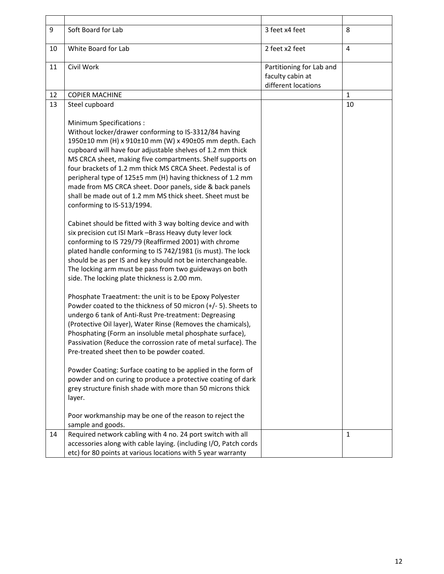| 9  | Soft Board for Lab                                                                                                                                                                                                                                                                                                                                                                                                                                                                                                                                                                                                                                                                                                                                                                                                                                                                                                                                                                                                                                                                                                                                                                                                                                                                                                                                                                                                                                                                                                                                                                                                                                                                                                           | 3 feet x4 feet                                                      | 8            |
|----|------------------------------------------------------------------------------------------------------------------------------------------------------------------------------------------------------------------------------------------------------------------------------------------------------------------------------------------------------------------------------------------------------------------------------------------------------------------------------------------------------------------------------------------------------------------------------------------------------------------------------------------------------------------------------------------------------------------------------------------------------------------------------------------------------------------------------------------------------------------------------------------------------------------------------------------------------------------------------------------------------------------------------------------------------------------------------------------------------------------------------------------------------------------------------------------------------------------------------------------------------------------------------------------------------------------------------------------------------------------------------------------------------------------------------------------------------------------------------------------------------------------------------------------------------------------------------------------------------------------------------------------------------------------------------------------------------------------------------|---------------------------------------------------------------------|--------------|
| 10 | White Board for Lab                                                                                                                                                                                                                                                                                                                                                                                                                                                                                                                                                                                                                                                                                                                                                                                                                                                                                                                                                                                                                                                                                                                                                                                                                                                                                                                                                                                                                                                                                                                                                                                                                                                                                                          | 2 feet x2 feet                                                      | 4            |
| 11 | Civil Work                                                                                                                                                                                                                                                                                                                                                                                                                                                                                                                                                                                                                                                                                                                                                                                                                                                                                                                                                                                                                                                                                                                                                                                                                                                                                                                                                                                                                                                                                                                                                                                                                                                                                                                   | Partitioning for Lab and<br>faculty cabin at<br>different locations |              |
| 12 | <b>COPIER MACHINE</b>                                                                                                                                                                                                                                                                                                                                                                                                                                                                                                                                                                                                                                                                                                                                                                                                                                                                                                                                                                                                                                                                                                                                                                                                                                                                                                                                                                                                                                                                                                                                                                                                                                                                                                        |                                                                     | $\mathbf{1}$ |
| 13 | Steel cupboard                                                                                                                                                                                                                                                                                                                                                                                                                                                                                                                                                                                                                                                                                                                                                                                                                                                                                                                                                                                                                                                                                                                                                                                                                                                                                                                                                                                                                                                                                                                                                                                                                                                                                                               |                                                                     | 10           |
|    | <b>Minimum Specifications:</b><br>Without locker/drawer conforming to IS-3312/84 having<br>1950±10 mm (H) x 910±10 mm (W) x 490±05 mm depth. Each<br>cupboard will have four adjustable shelves of 1.2 mm thick<br>MS CRCA sheet, making five compartments. Shelf supports on<br>four brackets of 1.2 mm thick MS CRCA Sheet. Pedestal is of<br>peripheral type of 125±5 mm (H) having thickness of 1.2 mm<br>made from MS CRCA sheet. Door panels, side & back panels<br>shall be made out of 1.2 mm MS thick sheet. Sheet must be<br>conforming to IS-513/1994.<br>Cabinet should be fitted with 3 way bolting device and with<br>six precision cut ISI Mark -Brass Heavy duty lever lock<br>conforming to IS 729/79 (Reaffirmed 2001) with chrome<br>plated handle conforming to IS 742/1981 (is must). The lock<br>should be as per IS and key should not be interchangeable.<br>The locking arm must be pass from two guideways on both<br>side. The locking plate thickness is 2.00 mm.<br>Phosphate Traeatment: the unit is to be Epoxy Polyester<br>Powder coated to the thickness of 50 micron $(+/- 5)$ . Sheets to<br>undergo 6 tank of Anti-Rust Pre-treatment: Degreasing<br>(Protective Oil layer), Water Rinse (Removes the chamicals),<br>Phosphating (Form an insoluble metal phosphate surface),<br>Passivation (Reduce the corrossion rate of metal surface). The<br>Pre-treated sheet then to be powder coated.<br>Powder Coating: Surface coating to be applied in the form of<br>powder and on curing to produce a protective coating of dark<br>grey structure finish shade with more than 50 microns thick<br>layer.<br>Poor workmanship may be one of the reason to reject the<br>sample and goods. |                                                                     |              |
| 14 | Required network cabling with 4 no. 24 port switch with all                                                                                                                                                                                                                                                                                                                                                                                                                                                                                                                                                                                                                                                                                                                                                                                                                                                                                                                                                                                                                                                                                                                                                                                                                                                                                                                                                                                                                                                                                                                                                                                                                                                                  |                                                                     | 1            |
|    | accessories along with cable laying. (including I/O, Patch cords<br>etc) for 80 points at various locations with 5 year warranty                                                                                                                                                                                                                                                                                                                                                                                                                                                                                                                                                                                                                                                                                                                                                                                                                                                                                                                                                                                                                                                                                                                                                                                                                                                                                                                                                                                                                                                                                                                                                                                             |                                                                     |              |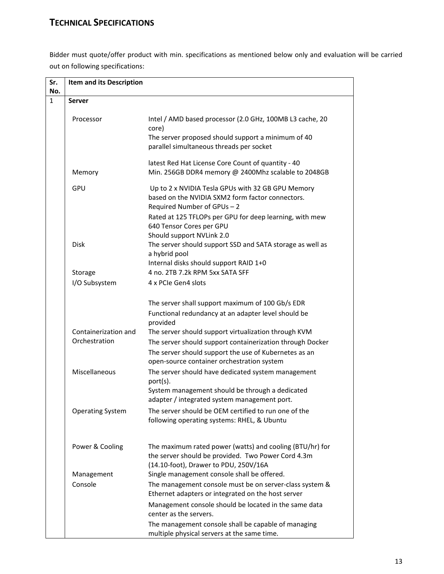# **TECHNICAL SPECIFICATIONS**

Bidder must quote/offer product with min. specifications as mentioned below only and evaluation will be carried out on following specifications:

| Sr. | Item and its Description |                                                                                                                                                                                                                                                          |
|-----|--------------------------|----------------------------------------------------------------------------------------------------------------------------------------------------------------------------------------------------------------------------------------------------------|
| No. |                          |                                                                                                                                                                                                                                                          |
| 1   | <b>Server</b>            |                                                                                                                                                                                                                                                          |
|     | Processor                | Intel / AMD based processor (2.0 GHz, 100MB L3 cache, 20<br>core)<br>The server proposed should support a minimum of 40<br>parallel simultaneous threads per socket                                                                                      |
|     | Memory                   | latest Red Hat License Core Count of quantity - 40<br>Min. 256GB DDR4 memory @ 2400Mhz scalable to 2048GB                                                                                                                                                |
|     | GPU                      | Up to 2 x NVIDIA Tesla GPUs with 32 GB GPU Memory<br>based on the NVIDIA SXM2 form factor connectors.<br>Required Number of GPUs - 2<br>Rated at 125 TFLOPs per GPU for deep learning, with mew<br>640 Tensor Cores per GPU<br>Should support NVLink 2.0 |
|     | <b>Disk</b>              | The server should support SSD and SATA storage as well as<br>a hybrid pool<br>Internal disks should support RAID 1+0                                                                                                                                     |
|     | Storage                  | 4 no. 2TB 7.2k RPM 5xx SATA SFF                                                                                                                                                                                                                          |
|     | I/O Subsystem            | 4 x PCIe Gen4 slots                                                                                                                                                                                                                                      |
|     | Containerization and     | The server shall support maximum of 100 Gb/s EDR<br>Functional redundancy at an adapter level should be<br>provided<br>The server should support virtualization through KVM                                                                              |
|     | Orchestration            | The server should support containerization through Docker<br>The server should support the use of Kubernetes as an<br>open-source container orchestration system                                                                                         |
|     | Miscellaneous            | The server should have dedicated system management<br>port(s).<br>System management should be through a dedicated<br>adapter / integrated system management port.                                                                                        |
|     | <b>Operating System</b>  | The server should be OEM certified to run one of the<br>following operating systems: RHEL, & Ubuntu                                                                                                                                                      |
|     | Power & Cooling          | The maximum rated power (watts) and cooling (BTU/hr) for<br>the server should be provided. Two Power Cord 4.3m<br>(14.10-foot), Drawer to PDU, 250V/16A                                                                                                  |
|     | Management               | Single management console shall be offered.                                                                                                                                                                                                              |
|     | Console                  | The management console must be on server-class system &<br>Ethernet adapters or integrated on the host server                                                                                                                                            |
|     |                          | Management console should be located in the same data<br>center as the servers.                                                                                                                                                                          |
|     |                          | The management console shall be capable of managing<br>multiple physical servers at the same time.                                                                                                                                                       |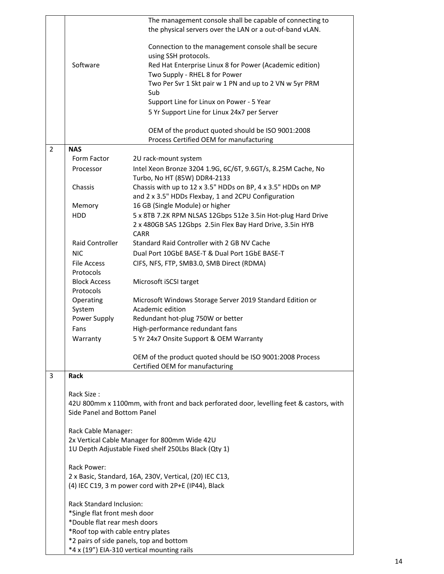|                |                                   | The management console shall be capable of connecting to<br>the physical servers over the LAN or a out-of-band vLAN. |
|----------------|-----------------------------------|----------------------------------------------------------------------------------------------------------------------|
|                |                                   | Connection to the management console shall be secure<br>using SSH protocols.                                         |
|                | Software                          | Red Hat Enterprise Linux 8 for Power (Academic edition)                                                              |
|                |                                   | Two Supply - RHEL 8 for Power                                                                                        |
|                |                                   | Two Per Svr 1 Skt pair w 1 PN and up to 2 VN w 5yr PRM                                                               |
|                |                                   | Sub<br>Support Line for Linux on Power - 5 Year                                                                      |
|                |                                   | 5 Yr Support Line for Linux 24x7 per Server                                                                          |
|                |                                   |                                                                                                                      |
|                |                                   | OEM of the product quoted should be ISO 9001:2008<br>Process Certified OEM for manufacturing                         |
| $\overline{2}$ | <b>NAS</b>                        |                                                                                                                      |
|                | Form Factor                       | 2U rack-mount system                                                                                                 |
|                | Processor                         | Intel Xeon Bronze 3204 1.9G, 6C/6T, 9.6GT/s, 8.25M Cache, No                                                         |
|                |                                   | Turbo, No HT (85W) DDR4-2133                                                                                         |
|                | Chassis                           | Chassis with up to 12 x 3.5" HDDs on BP, 4 x 3.5" HDDs on MP                                                         |
|                |                                   | and 2 x 3.5" HDDs Flexbay, 1 and 2CPU Configuration                                                                  |
|                | Memory                            | 16 GB (Single Module) or higher                                                                                      |
|                | HDD                               | 5 x 8TB 7.2K RPM NLSAS 12Gbps 512e 3.5in Hot-plug Hard Drive                                                         |
|                |                                   | 2 x 480GB SAS 12Gbps 2.5in Flex Bay Hard Drive, 3.5in HYB<br><b>CARR</b>                                             |
|                | <b>Raid Controller</b>            | Standard Raid Controller with 2 GB NV Cache                                                                          |
|                | <b>NIC</b>                        | Dual Port 10GbE BASE-T & Dual Port 1GbE BASE-T                                                                       |
|                | File Access                       | CIFS, NFS, FTP, SMB3.0, SMB Direct (RDMA)                                                                            |
|                | Protocols                         |                                                                                                                      |
|                | <b>Block Access</b><br>Protocols  | Microsoft iSCSI target                                                                                               |
|                | Operating                         | Microsoft Windows Storage Server 2019 Standard Edition or                                                            |
|                | System                            | Academic edition                                                                                                     |
|                | Power Supply                      | Redundant hot-plug 750W or better                                                                                    |
|                | Fans                              | High-performance redundant fans                                                                                      |
|                | Warranty                          | 5 Yr 24x7 Onsite Support & OEM Warranty                                                                              |
|                |                                   | OEM of the product quoted should be ISO 9001:2008 Process<br>Certified OEM for manufacturing                         |
| 3              | <b>Rack</b>                       |                                                                                                                      |
|                | Rack Size:                        |                                                                                                                      |
|                | Side Panel and Bottom Panel       | 42U 800mm x 1100mm, with front and back perforated door, levelling feet & castors, with                              |
|                | Rack Cable Manager:               |                                                                                                                      |
|                |                                   | 2x Vertical Cable Manager for 800mm Wide 42U                                                                         |
|                |                                   | 1U Depth Adjustable Fixed shelf 250Lbs Black (Qty 1)                                                                 |
|                | Rack Power:                       |                                                                                                                      |
|                |                                   | 2 x Basic, Standard, 16A, 230V, Vertical, (20) IEC C13,                                                              |
|                |                                   | (4) IEC C19, 3 m power cord with 2P+E (IP44), Black                                                                  |
|                | Rack Standard Inclusion:          |                                                                                                                      |
|                | *Single flat front mesh door      |                                                                                                                      |
|                | *Double flat rear mesh doors      |                                                                                                                      |
|                | *Roof top with cable entry plates |                                                                                                                      |
|                |                                   | *2 pairs of side panels, top and bottom                                                                              |
|                |                                   | *4 x (19") EIA-310 vertical mounting rails                                                                           |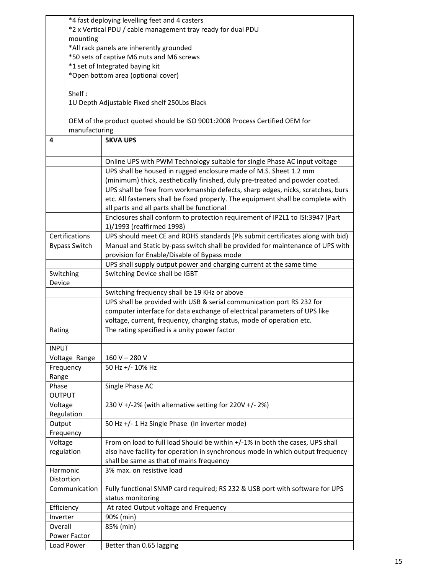|              | *4 fast deploying levelling feet and 4 casters |                                                                                  |  |  |
|--------------|------------------------------------------------|----------------------------------------------------------------------------------|--|--|
|              |                                                | *2 x Vertical PDU / cable management tray ready for dual PDU                     |  |  |
|              | mounting                                       |                                                                                  |  |  |
|              | *All rack panels are inherently grounded       |                                                                                  |  |  |
|              | *50 sets of captive M6 nuts and M6 screws      |                                                                                  |  |  |
|              | *1 set of Integrated baying kit                |                                                                                  |  |  |
|              | *Open bottom area (optional cover)             |                                                                                  |  |  |
|              |                                                |                                                                                  |  |  |
|              |                                                |                                                                                  |  |  |
| Shelf:       |                                                |                                                                                  |  |  |
|              | 1U Depth Adjustable Fixed shelf 250Lbs Black   |                                                                                  |  |  |
|              |                                                |                                                                                  |  |  |
|              |                                                | OEM of the product quoted should be ISO 9001:2008 Process Certified OEM for      |  |  |
|              | manufacturing                                  |                                                                                  |  |  |
| 4            |                                                | <b>5KVA UPS</b>                                                                  |  |  |
|              |                                                |                                                                                  |  |  |
|              |                                                |                                                                                  |  |  |
|              |                                                | Online UPS with PWM Technology suitable for single Phase AC input voltage        |  |  |
|              |                                                | UPS shall be housed in rugged enclosure made of M.S. Sheet 1.2 mm                |  |  |
|              |                                                | (minimum) thick, aesthetically finished, duly pre-treated and powder coated.     |  |  |
|              |                                                | UPS shall be free from workmanship defects, sharp edges, nicks, scratches, burs  |  |  |
|              |                                                | etc. All fasteners shall be fixed properly. The equipment shall be complete with |  |  |
|              |                                                | all parts and all parts shall be functional                                      |  |  |
|              |                                                | Enclosures shall conform to protection requirement of IP2L1 to ISI:3947 (Part    |  |  |
|              |                                                | 1)/1993 (reaffirmed 1998)                                                        |  |  |
|              |                                                |                                                                                  |  |  |
|              | Certifications                                 | UPS should meet CE and ROHS standards (Pls submit certificates along with bid)   |  |  |
|              | <b>Bypass Switch</b>                           | Manual and Static by-pass switch shall be provided for maintenance of UPS with   |  |  |
|              |                                                | provision for Enable/Disable of Bypass mode                                      |  |  |
|              |                                                | UPS shall supply output power and charging current at the same time              |  |  |
| Switching    |                                                | Switching Device shall be IGBT                                                   |  |  |
| Device       |                                                |                                                                                  |  |  |
|              |                                                | Switching frequency shall be 19 KHz or above                                     |  |  |
|              |                                                | UPS shall be provided with USB & serial communication port RS 232 for            |  |  |
|              |                                                | computer interface for data exchange of electrical parameters of UPS like        |  |  |
|              |                                                |                                                                                  |  |  |
|              |                                                | voltage, current, frequency, charging status, mode of operation etc.             |  |  |
| Rating       |                                                | The rating specified is a unity power factor                                     |  |  |
|              |                                                |                                                                                  |  |  |
| <b>INPUT</b> |                                                |                                                                                  |  |  |
|              | Voltage Range                                  | $160 V - 280 V$                                                                  |  |  |
|              | Frequency                                      | 50 Hz +/- 10% Hz                                                                 |  |  |
| Range        |                                                |                                                                                  |  |  |
| Phase        |                                                | Single Phase AC                                                                  |  |  |
| OUTPUT       |                                                |                                                                                  |  |  |
|              |                                                |                                                                                  |  |  |
| Voltage      |                                                | 230 V +/-2% (with alternative setting for 220V +/-2%)                            |  |  |
|              | Regulation                                     |                                                                                  |  |  |
| Output       |                                                | 50 Hz +/- 1 Hz Single Phase (In inverter mode)                                   |  |  |
|              | Frequency                                      |                                                                                  |  |  |
| Voltage      |                                                | From on load to full load Should be within +/-1% in both the cases, UPS shall    |  |  |
| regulation   |                                                | also have facility for operation in synchronous mode in which output frequency   |  |  |
|              |                                                | shall be same as that of mains frequency                                         |  |  |
| Harmonic     |                                                | 3% max. on resistive load                                                        |  |  |
| Distortion   |                                                |                                                                                  |  |  |
|              |                                                |                                                                                  |  |  |
|              | Communication                                  | Fully functional SNMP card required; RS 232 & USB port with software for UPS     |  |  |
|              |                                                | status monitoring                                                                |  |  |
| Efficiency   |                                                | At rated Output voltage and Frequency                                            |  |  |
| Inverter     |                                                | 90% (min)                                                                        |  |  |
| Overall      |                                                | 85% (min)                                                                        |  |  |
|              | <b>Power Factor</b>                            |                                                                                  |  |  |
|              | Load Power                                     | Better than 0.65 lagging                                                         |  |  |
|              |                                                |                                                                                  |  |  |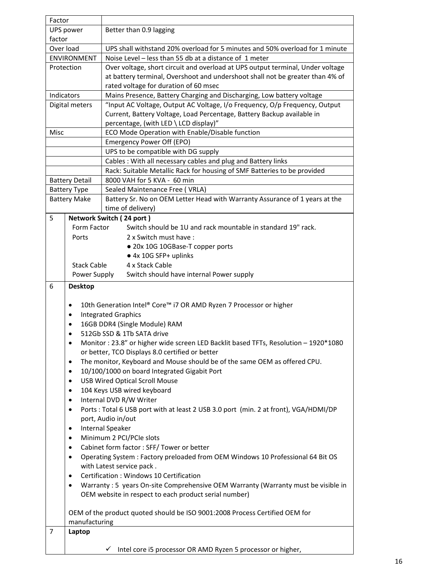| Factor                                                   |                       |                                                                                      |  |  |  |
|----------------------------------------------------------|-----------------------|--------------------------------------------------------------------------------------|--|--|--|
| UPS power                                                |                       | Better than 0.9 lagging                                                              |  |  |  |
| factor                                                   |                       |                                                                                      |  |  |  |
| Over load                                                |                       | UPS shall withstand 20% overload for 5 minutes and 50% overload for 1 minute         |  |  |  |
|                                                          | <b>ENVIRONMENT</b>    | Noise Level - less than 55 db at a distance of 1 meter                               |  |  |  |
|                                                          | Protection            | Over voltage, short circuit and overload at UPS output terminal, Under voltage       |  |  |  |
|                                                          |                       | at battery terminal, Overshoot and undershoot shall not be greater than 4% of        |  |  |  |
|                                                          |                       | rated voltage for duration of 60 msec                                                |  |  |  |
|                                                          | Indicators            | Mains Presence, Battery Charging and Discharging, Low battery voltage                |  |  |  |
|                                                          | Digital meters        | "Input AC Voltage, Output AC Voltage, I/o Frequency, O/p Frequency, Output           |  |  |  |
|                                                          |                       | Current, Battery Voltage, Load Percentage, Battery Backup available in               |  |  |  |
|                                                          |                       | percentage, (with LED \ LCD display)"                                                |  |  |  |
| Misc                                                     |                       | ECO Mode Operation with Enable/Disable function                                      |  |  |  |
|                                                          |                       | Emergency Power Off (EPO)                                                            |  |  |  |
|                                                          |                       | UPS to be compatible with DG supply                                                  |  |  |  |
|                                                          |                       | Cables: With all necessary cables and plug and Battery links                         |  |  |  |
|                                                          |                       | Rack: Suitable Metallic Rack for housing of SMF Batteries to be provided             |  |  |  |
|                                                          | <b>Battery Detail</b> | 8000 VAH for 5 KVA - 60 min                                                          |  |  |  |
|                                                          | <b>Battery Type</b>   | Sealed Maintenance Free (VRLA)                                                       |  |  |  |
|                                                          | <b>Battery Make</b>   | Battery Sr. No on OEM Letter Head with Warranty Assurance of 1 years at the          |  |  |  |
|                                                          |                       | time of delivery)                                                                    |  |  |  |
| 5                                                        |                       | Network Switch (24 port)                                                             |  |  |  |
|                                                          | Form Factor           | Switch should be 1U and rack mountable in standard 19" rack.                         |  |  |  |
|                                                          | Ports                 | 2 x Switch must have:                                                                |  |  |  |
|                                                          |                       |                                                                                      |  |  |  |
|                                                          |                       | • 20x 10G 10GBase-T copper ports<br>● 4x 10G SFP+ uplinks                            |  |  |  |
|                                                          | <b>Stack Cable</b>    | 4 x Stack Cable                                                                      |  |  |  |
|                                                          |                       |                                                                                      |  |  |  |
| Power Supply<br>Switch should have internal Power supply |                       |                                                                                      |  |  |  |
|                                                          |                       |                                                                                      |  |  |  |
| 6                                                        | <b>Desktop</b>        |                                                                                      |  |  |  |
|                                                          |                       |                                                                                      |  |  |  |
|                                                          | ٠                     | 10th Generation Intel® Core™ i7 OR AMD Ryzen 7 Processor or higher                   |  |  |  |
|                                                          | $\bullet$             | <b>Integrated Graphics</b>                                                           |  |  |  |
|                                                          | ٠                     | 16GB DDR4 (Single Module) RAM                                                        |  |  |  |
|                                                          |                       | 512Gb SSD & 1Tb SATA drive                                                           |  |  |  |
|                                                          | $\bullet$             | Monitor: 23.8" or higher wide screen LED Backlit based TFTs, Resolution - 1920*1080  |  |  |  |
|                                                          |                       | or better, TCO Displays 8.0 certified or better                                      |  |  |  |
|                                                          | $\bullet$             | The monitor, Keyboard and Mouse should be of the same OEM as offered CPU.            |  |  |  |
|                                                          | $\bullet$             | 10/100/1000 on board Integrated Gigabit Port                                         |  |  |  |
|                                                          | $\bullet$             | <b>USB Wired Optical Scroll Mouse</b>                                                |  |  |  |
|                                                          | $\bullet$             | 104 Keys USB wired keyboard                                                          |  |  |  |
|                                                          | $\bullet$             | Internal DVD R/W Writer                                                              |  |  |  |
|                                                          | $\bullet$             | Ports : Total 6 USB port with at least 2 USB 3.0 port (min. 2 at front), VGA/HDMI/DP |  |  |  |
|                                                          |                       | port, Audio in/out                                                                   |  |  |  |
|                                                          | $\bullet$             | <b>Internal Speaker</b>                                                              |  |  |  |
|                                                          | $\bullet$             | Minimum 2 PCI/PCIe slots                                                             |  |  |  |
|                                                          | $\bullet$             | Cabinet form factor : SFF/ Tower or better                                           |  |  |  |
|                                                          | $\bullet$             | Operating System : Factory preloaded from OEM Windows 10 Professional 64 Bit OS      |  |  |  |
|                                                          |                       | with Latest service pack.                                                            |  |  |  |
|                                                          | $\bullet$             | Certification: Windows 10 Certification                                              |  |  |  |
|                                                          | $\bullet$             | Warranty: 5 years On-site Comprehensive OEM Warranty (Warranty must be visible in    |  |  |  |
|                                                          |                       | OEM website in respect to each product serial number)                                |  |  |  |
|                                                          |                       |                                                                                      |  |  |  |
|                                                          |                       | OEM of the product quoted should be ISO 9001:2008 Process Certified OEM for          |  |  |  |
|                                                          | manufacturing         |                                                                                      |  |  |  |
| 7                                                        | Laptop                |                                                                                      |  |  |  |
|                                                          |                       | Intel core i5 processor OR AMD Ryzen 5 processor or higher,                          |  |  |  |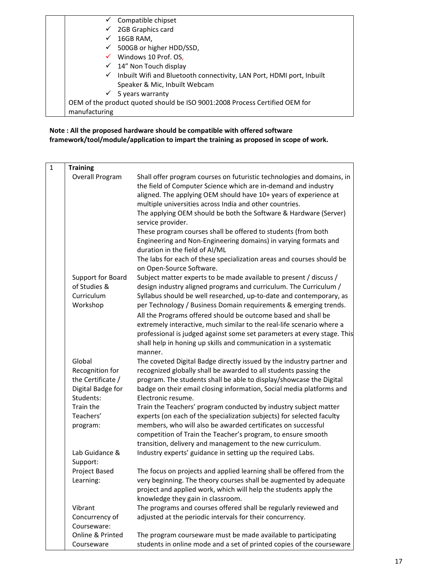| Compatible chipset                                                                 |
|------------------------------------------------------------------------------------|
| 2GB Graphics card<br>$\checkmark$                                                  |
| 16GB RAM,                                                                          |
| $\checkmark$ 500GB or higher HDD/SSD,                                              |
| $\checkmark$ Windows 10 Prof. OS,                                                  |
| $\checkmark$ 14" Non Touch display                                                 |
| $\checkmark$ Inbuilt Wifi and Bluetooth connectivity, LAN Port, HDMI port, Inbuilt |
| Speaker & Mic, Inbuilt Webcam                                                      |
| $\checkmark$ 5 years warranty                                                      |
| OEM of the product quoted should be ISO 9001:2008 Process Certified OEM for        |
| manufacturing                                                                      |

# **Note : All the proposed hardware should be compatible with offered software framework/tool/module/application to impart the training as proposed in scope of work.**

| $\mathbf{1}$ | <b>Training</b>                   |                                                                                                                                                                                                                                                                         |
|--------------|-----------------------------------|-------------------------------------------------------------------------------------------------------------------------------------------------------------------------------------------------------------------------------------------------------------------------|
|              | Overall Program                   | Shall offer program courses on futuristic technologies and domains, in<br>the field of Computer Science which are in-demand and industry<br>aligned. The applying OEM should have 10+ years of experience at<br>multiple universities across India and other countries. |
|              |                                   | The applying OEM should be both the Software & Hardware (Server)<br>service provider.                                                                                                                                                                                   |
|              |                                   | These program courses shall be offered to students (from both<br>Engineering and Non-Engineering domains) in varying formats and<br>duration in the field of AI/ML                                                                                                      |
|              |                                   | The labs for each of these specialization areas and courses should be<br>on Open-Source Software.                                                                                                                                                                       |
|              | Support for Board<br>of Studies & | Subject matter experts to be made available to present / discuss /<br>design industry aligned programs and curriculum. The Curriculum /                                                                                                                                 |
|              | Curriculum<br>Workshop            | Syllabus should be well researched, up-to-date and contemporary, as<br>per Technology / Business Domain requirements & emerging trends.                                                                                                                                 |
|              |                                   | All the Programs offered should be outcome based and shall be                                                                                                                                                                                                           |
|              |                                   | extremely interactive, much similar to the real-life scenario where a<br>professional is judged against some set parameters at every stage. This<br>shall help in honing up skills and communication in a systematic<br>manner.                                         |
|              | Global                            | The coveted Digital Badge directly issued by the industry partner and                                                                                                                                                                                                   |
|              | Recognition for                   | recognized globally shall be awarded to all students passing the                                                                                                                                                                                                        |
|              | the Certificate /                 | program. The students shall be able to display/showcase the Digital                                                                                                                                                                                                     |
|              | Digital Badge for                 | badge on their email closing information, Social media platforms and                                                                                                                                                                                                    |
|              | Students:                         | Electronic resume.                                                                                                                                                                                                                                                      |
|              | Train the                         | Train the Teachers' program conducted by industry subject matter                                                                                                                                                                                                        |
|              | Teachers'                         | experts (on each of the specialization subjects) for selected faculty                                                                                                                                                                                                   |
|              | program:                          | members, who will also be awarded certificates on successful<br>competition of Train the Teacher's program, to ensure smooth                                                                                                                                            |
|              |                                   | transition, delivery and management to the new curriculum.                                                                                                                                                                                                              |
|              | Lab Guidance &<br>Support:        | Industry experts' guidance in setting up the required Labs.                                                                                                                                                                                                             |
|              | Project Based                     | The focus on projects and applied learning shall be offered from the                                                                                                                                                                                                    |
|              | Learning:                         | very beginning. The theory courses shall be augmented by adequate<br>project and applied work, which will help the students apply the<br>knowledge they gain in classroom.                                                                                              |
|              | Vibrant                           | The programs and courses offered shall be regularly reviewed and                                                                                                                                                                                                        |
|              | Concurrency of<br>Courseware:     | adjusted at the periodic intervals for their concurrency.                                                                                                                                                                                                               |
|              | Online & Printed<br>Courseware    | The program courseware must be made available to participating<br>students in online mode and a set of printed copies of the courseware                                                                                                                                 |
|              |                                   |                                                                                                                                                                                                                                                                         |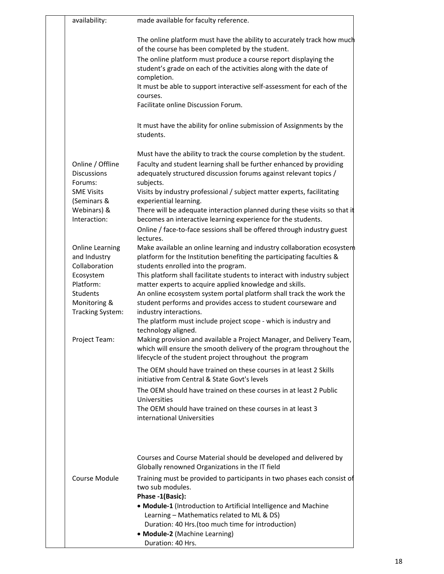| availability:                                           | made available for faculty reference.                                                                                                                                                                  |
|---------------------------------------------------------|--------------------------------------------------------------------------------------------------------------------------------------------------------------------------------------------------------|
|                                                         |                                                                                                                                                                                                        |
|                                                         | The online platform must have the ability to accurately track how much<br>of the course has been completed by the student.                                                                             |
|                                                         | The online platform must produce a course report displaying the<br>student's grade on each of the activities along with the date of<br>completion.                                                     |
|                                                         | It must be able to support interactive self-assessment for each of the<br>courses.                                                                                                                     |
|                                                         | Facilitate online Discussion Forum.                                                                                                                                                                    |
|                                                         | It must have the ability for online submission of Assignments by the<br>students.                                                                                                                      |
|                                                         | Must have the ability to track the course completion by the student.                                                                                                                                   |
| Online / Offline<br><b>Discussions</b><br>Forums:       | Faculty and student learning shall be further enhanced by providing<br>adequately structured discussion forums against relevant topics /<br>subjects.                                                  |
| <b>SME Visits</b><br>(Seminars &                        | Visits by industry professional / subject matter experts, facilitating<br>experiential learning.                                                                                                       |
| Webinars) &<br>Interaction:                             | There will be adequate interaction planned during these visits so that it<br>becomes an interactive learning experience for the students.                                                              |
|                                                         | Online / face-to-face sessions shall be offered through industry guest<br>lectures.                                                                                                                    |
| <b>Online Learning</b><br>and Industry<br>Collaboration | Make available an online learning and industry collaboration ecosystem<br>platform for the Institution benefiting the participating faculties &<br>students enrolled into the program.                 |
| Ecosystem<br>Platform:                                  | This platform shall facilitate students to interact with industry subject<br>matter experts to acquire applied knowledge and skills.                                                                   |
| <b>Students</b><br>Monitoring &<br>Tracking System:     | An online ecosystem system portal platform shall track the work the<br>student performs and provides access to student courseware and<br>industry interactions.                                        |
|                                                         | The platform must include project scope - which is industry and<br>technology aligned.                                                                                                                 |
| Project Team:                                           | Making provision and available a Project Manager, and Delivery Team,<br>which will ensure the smooth delivery of the program throughout the<br>lifecycle of the student project throughout the program |
|                                                         | The OEM should have trained on these courses in at least 2 Skills<br>initiative from Central & State Govt's levels                                                                                     |
|                                                         | The OEM should have trained on these courses in at least 2 Public<br>Universities                                                                                                                      |
|                                                         | The OEM should have trained on these courses in at least 3<br>international Universities                                                                                                               |
|                                                         |                                                                                                                                                                                                        |
|                                                         | Courses and Course Material should be developed and delivered by<br>Globally renowned Organizations in the IT field                                                                                    |
| Course Module                                           | Training must be provided to participants in two phases each consist of<br>two sub modules.<br>Phase -1(Basic):                                                                                        |
|                                                         | • Module-1 (Introduction to Artificial Intelligence and Machine<br>Learning - Mathematics related to ML & DS)                                                                                          |
|                                                         | Duration: 40 Hrs.(too much time for introduction)<br>• Module-2 (Machine Learning)                                                                                                                     |
|                                                         | Duration: 40 Hrs.                                                                                                                                                                                      |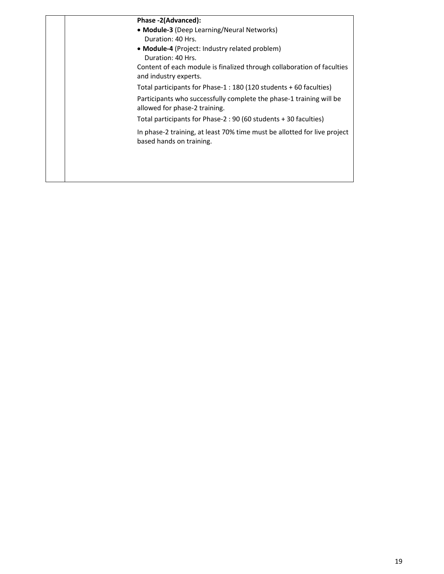| Phase -2(Advanced):                                                                                  |
|------------------------------------------------------------------------------------------------------|
| • Module-3 (Deep Learning/Neural Networks)                                                           |
| Duration: 40 Hrs.                                                                                    |
| • Module-4 (Project: Industry related problem)                                                       |
| Duration: 40 Hrs.                                                                                    |
| Content of each module is finalized through collaboration of faculties<br>and industry experts.      |
| Total participants for Phase-1 : 180 (120 students + 60 faculties)                                   |
| Participants who successfully complete the phase-1 training will be<br>allowed for phase-2 training. |
| Total participants for Phase-2: 90 (60 students + 30 faculties)                                      |
| In phase-2 training, at least 70% time must be allotted for live project<br>based hands on training. |
|                                                                                                      |
|                                                                                                      |
|                                                                                                      |
|                                                                                                      |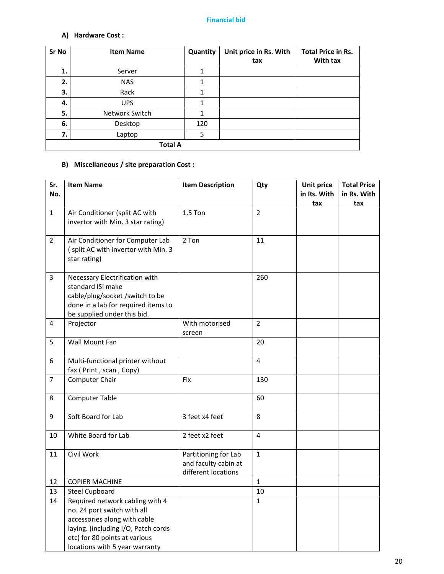### **Financial bid**

# **A) Hardware Cost :**

| Sr No | <b>Item Name</b> | Quantity | Unit price in Rs. With<br>tax | <b>Total Price in Rs.</b><br>With tax |
|-------|------------------|----------|-------------------------------|---------------------------------------|
| 1.    | Server           | 1        |                               |                                       |
| 2.    | <b>NAS</b>       | 1        |                               |                                       |
| З.    | Rack             | 1        |                               |                                       |
| 4.    | <b>UPS</b>       |          |                               |                                       |
| 5.    | Network Switch   |          |                               |                                       |
| 6.    | Desktop          | 120      |                               |                                       |
| 7.    | Laptop           | 5        |                               |                                       |
|       | <b>Total A</b>   |          |                               |                                       |

# **B) Miscellaneous / site preparation Cost :**

| Sr.            | <b>Item Name</b>                                                                                                                                             | <b>Item Description</b>                                             | Qty            | <b>Unit price</b> | <b>Total Price</b> |
|----------------|--------------------------------------------------------------------------------------------------------------------------------------------------------------|---------------------------------------------------------------------|----------------|-------------------|--------------------|
| No.            |                                                                                                                                                              |                                                                     |                | in Rs. With       | in Rs. With        |
|                |                                                                                                                                                              |                                                                     |                | tax               | tax                |
| $\mathbf{1}$   | Air Conditioner (split AC with<br>invertor with Min. 3 star rating)                                                                                          | $1.5$ Ton                                                           | $\overline{2}$ |                   |                    |
| $\overline{2}$ | Air Conditioner for Computer Lab<br>(split AC with invertor with Min. 3<br>star rating)                                                                      | 2 Ton                                                               | 11             |                   |                    |
| 3              | Necessary Electrification with<br>standard ISI make<br>cable/plug/socket /switch to be<br>done in a lab for required items to<br>be supplied under this bid. |                                                                     | 260            |                   |                    |
| 4              | Projector                                                                                                                                                    | With motorised<br>screen                                            | $\overline{2}$ |                   |                    |
| 5              | Wall Mount Fan                                                                                                                                               |                                                                     | 20             |                   |                    |
| 6              | Multi-functional printer without<br>fax ( Print, scan, Copy)                                                                                                 |                                                                     | 4              |                   |                    |
| $\overline{7}$ | Computer Chair                                                                                                                                               | Fix                                                                 | 130            |                   |                    |
| 8              | <b>Computer Table</b>                                                                                                                                        |                                                                     | 60             |                   |                    |
| 9              | Soft Board for Lab                                                                                                                                           | 3 feet x4 feet                                                      | 8              |                   |                    |
| 10             | White Board for Lab                                                                                                                                          | 2 feet x2 feet                                                      | 4              |                   |                    |
| 11             | Civil Work                                                                                                                                                   | Partitioning for Lab<br>and faculty cabin at<br>different locations | $\mathbf{1}$   |                   |                    |
| 12             | <b>COPIER MACHINE</b>                                                                                                                                        |                                                                     | $\mathbf{1}$   |                   |                    |
| 13             | <b>Steel Cupboard</b>                                                                                                                                        |                                                                     | 10             |                   |                    |
| 14             | Required network cabling with 4                                                                                                                              |                                                                     | $\mathbf{1}$   |                   |                    |
|                | no. 24 port switch with all                                                                                                                                  |                                                                     |                |                   |                    |
|                | accessories along with cable                                                                                                                                 |                                                                     |                |                   |                    |
|                | laying. (including I/O, Patch cords                                                                                                                          |                                                                     |                |                   |                    |
|                | etc) for 80 points at various                                                                                                                                |                                                                     |                |                   |                    |
|                | locations with 5 year warranty                                                                                                                               |                                                                     |                |                   |                    |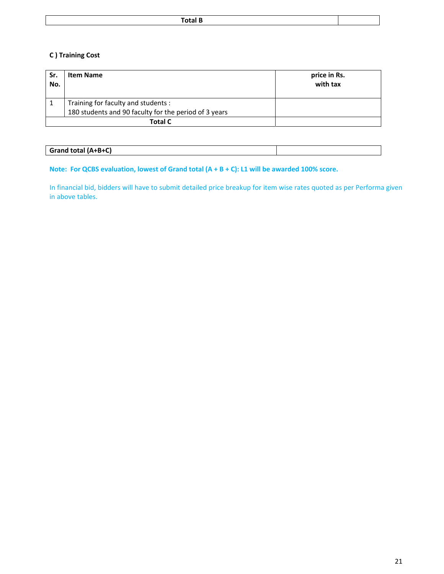# **C ) Training Cost**

| Sr.<br>No. | <b>Item Name</b>                                      | price in Rs.<br>with tax |
|------------|-------------------------------------------------------|--------------------------|
|            | Training for faculty and students :                   |                          |
|            | 180 students and 90 faculty for the period of 3 years |                          |
|            | <b>Total C</b>                                        |                          |

### **Grand total (A+B+C)**

### **Note: For QCBS evaluation, lowest of Grand total (A + B + C): L1 will be awarded 100% score.**

In financial bid, bidders will have to submit detailed price breakup for item wise rates quoted as per Performa given in above tables.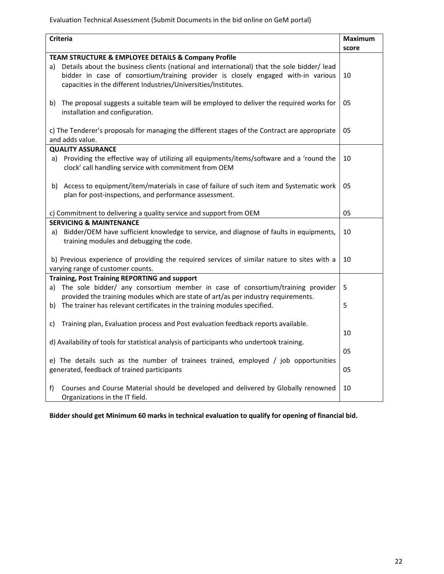Evaluation Technical Assessment (Submit Documents in the bid online on GeM portal)

| <b>Criteria</b><br><b>Maximum</b>                                                                                                |       |  |  |
|----------------------------------------------------------------------------------------------------------------------------------|-------|--|--|
|                                                                                                                                  | score |  |  |
| TEAM STRUCTURE & EMPLOYEE DETAILS & Company Profile                                                                              |       |  |  |
| a) Details about the business clients (national and international) that the sole bidder/ lead                                    |       |  |  |
| bidder in case of consortium/training provider is closely engaged with-in various                                                | 10    |  |  |
| capacities in the different Industries/Universities/Institutes.                                                                  |       |  |  |
|                                                                                                                                  |       |  |  |
| The proposal suggests a suitable team will be employed to deliver the required works for<br>b)                                   | 05    |  |  |
| installation and configuration.                                                                                                  |       |  |  |
| c) The Tenderer's proposals for managing the different stages of the Contract are appropriate                                    | 05    |  |  |
| and adds value.                                                                                                                  |       |  |  |
| <b>QUALITY ASSURANCE</b>                                                                                                         |       |  |  |
| Providing the effective way of utilizing all equipments/items/software and a 'round the<br>a)                                    | 10    |  |  |
| clock' call handling service with commitment from OEM                                                                            |       |  |  |
|                                                                                                                                  |       |  |  |
| b) Access to equipment/item/materials in case of failure of such item and Systematic work                                        | 05    |  |  |
| plan for post-inspections, and performance assessment.                                                                           |       |  |  |
|                                                                                                                                  |       |  |  |
| c) Commitment to delivering a quality service and support from OEM                                                               | 05    |  |  |
| <b>SERVICING &amp; MAINTENANCE</b>                                                                                               |       |  |  |
| Bidder/OEM have sufficient knowledge to service, and diagnose of faults in equipments,<br>a)                                     | 10    |  |  |
| training modules and debugging the code.                                                                                         |       |  |  |
|                                                                                                                                  | 10    |  |  |
| b) Previous experience of providing the required services of similar nature to sites with a<br>varying range of customer counts. |       |  |  |
| <b>Training, Post Training REPORTING and support</b>                                                                             |       |  |  |
| The sole bidder/ any consortium member in case of consortium/training provider<br>a)                                             | 5     |  |  |
| provided the training modules which are state of art/as per industry requirements.                                               |       |  |  |
| The trainer has relevant certificates in the training modules specified.<br>b)                                                   | 5     |  |  |
|                                                                                                                                  |       |  |  |
| Training plan, Evaluation process and Post evaluation feedback reports available.<br>C)                                          |       |  |  |
|                                                                                                                                  | 10    |  |  |
| d) Availability of tools for statistical analysis of participants who undertook training.                                        |       |  |  |
|                                                                                                                                  |       |  |  |
| e) The details such as the number of trainees trained, employed / job opportunities                                              |       |  |  |
| generated, feedback of trained participants                                                                                      |       |  |  |
|                                                                                                                                  |       |  |  |
| Courses and Course Material should be developed and delivered by Globally renowned<br>f)                                         | 10    |  |  |
| Organizations in the IT field.                                                                                                   |       |  |  |

**Bidder should get Minimum 60 marks in technical evaluation to qualify for opening of financial bid.**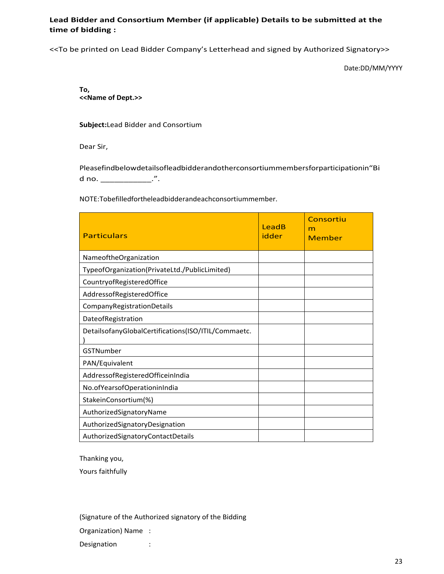# **Lead Bidder and Consortium Member (if applicable) Details to be submitted at the time of bidding :**

<<To be printed on Lead Bidder Company's Letterhead and signed by Authorized Signatory>>

Date:DD/MM/YYYY

**To, <<Name of Dept.>>**

**Subject:**Lead Bidder and Consortium

Dear Sir,

Pleasefindbelowdetailsofleadbidderandotherconsortiummembersforparticipationin"Bi d no. \_\_\_\_\_\_\_\_\_\_\_\_\_.".

NOTE:Tobefilledfortheleadbidderandeachconsortiummember.

| <b>Particulars</b>                                  | LeadB<br>idder | Consortiu<br>m<br>Member |
|-----------------------------------------------------|----------------|--------------------------|
| NameoftheOrganization                               |                |                          |
| TypeofOrganization(PrivateLtd./PublicLimited)       |                |                          |
| CountryofRegisteredOffice                           |                |                          |
| AddressofRegisteredOffice                           |                |                          |
| CompanyRegistrationDetails                          |                |                          |
| DateofRegistration                                  |                |                          |
| DetailsofanyGlobalCertifications(ISO/ITIL/Commaetc. |                |                          |
| GSTNumber                                           |                |                          |
| PAN/Equivalent                                      |                |                          |
| AddressofRegisteredOfficeinIndia                    |                |                          |
| No.ofYearsofOperationinIndia                        |                |                          |
| StakeinConsortium(%)                                |                |                          |
| AuthorizedSignatoryName                             |                |                          |
| AuthorizedSignatoryDesignation                      |                |                          |
| AuthorizedSignatoryContactDetails                   |                |                          |

Thanking you,

Yours faithfully

(Signature of the Authorized signatory of the Bidding

Organization) Name :

Designation :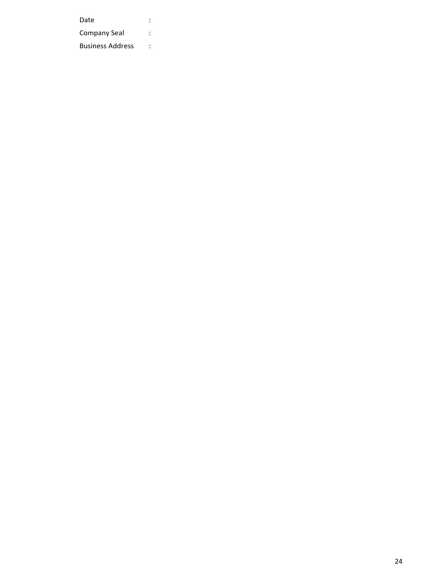Date : the state of the state of the state  $\mathbf{r}$  : Company Seal : Business Address :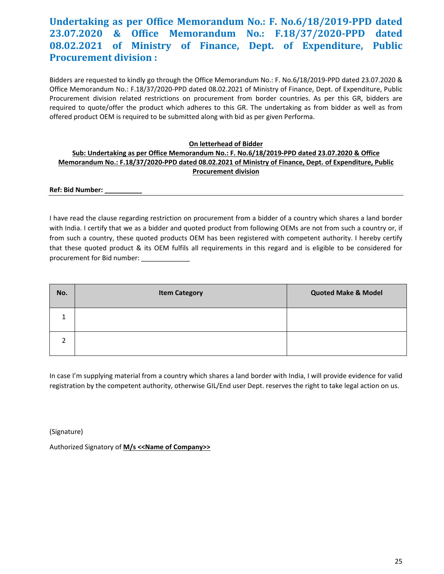# **Undertaking as per Office Memorandum No.: F. No.6/18/2019‐PPD dated 23.07.2020 & Office Memorandum No.: F.18/37/2020‐PPD dated 08.02.2021 of Ministry of Finance, Dept. of Expenditure, Public Procurement division :**

Bidders are requested to kindly go through the Office Memorandum No.: F. No.6/18/2019‐PPD dated 23.07.2020 & Office Memorandum No.: F.18/37/2020‐PPD dated 08.02.2021 of Ministry of Finance, Dept. of Expenditure, Public Procurement division related restrictions on procurement from border countries. As per this GR, bidders are required to quote/offer the product which adheres to this GR. The undertaking as from bidder as well as from offered product OEM is required to be submitted along with bid as per given Performa.

#### **On letterhead of Bidder**

# **Sub: Undertaking as per Office Memorandum No.: F. No.6/18/2019‐PPD dated 23.07.2020 & Office Memorandum No.: F.18/37/2020‐PPD dated 08.02.2021 of Ministry of Finance, Dept. of Expenditure, Public Procurement division**

**Ref: Bid Number:** 

I have read the clause regarding restriction on procurement from a bidder of a country which shares a land border with India. I certify that we as a bidder and quoted product from following OEMs are not from such a country or, if from such a country, these quoted products OEM has been registered with competent authority. I hereby certify that these quoted product & its OEM fulfils all requirements in this regard and is eligible to be considered for procurement for Bid number:

| No.            | <b>Item Category</b> | <b>Quoted Make &amp; Model</b> |
|----------------|----------------------|--------------------------------|
| $\mathbf{1}$   |                      |                                |
| $\overline{2}$ |                      |                                |

In case I'm supplying material from a country which shares a land border with India, I will provide evidence for valid registration by the competent authority, otherwise GIL/End user Dept. reserves the right to take legal action on us.

(Signature)

Authorized Signatory of **M/s <<Name of Company>>**